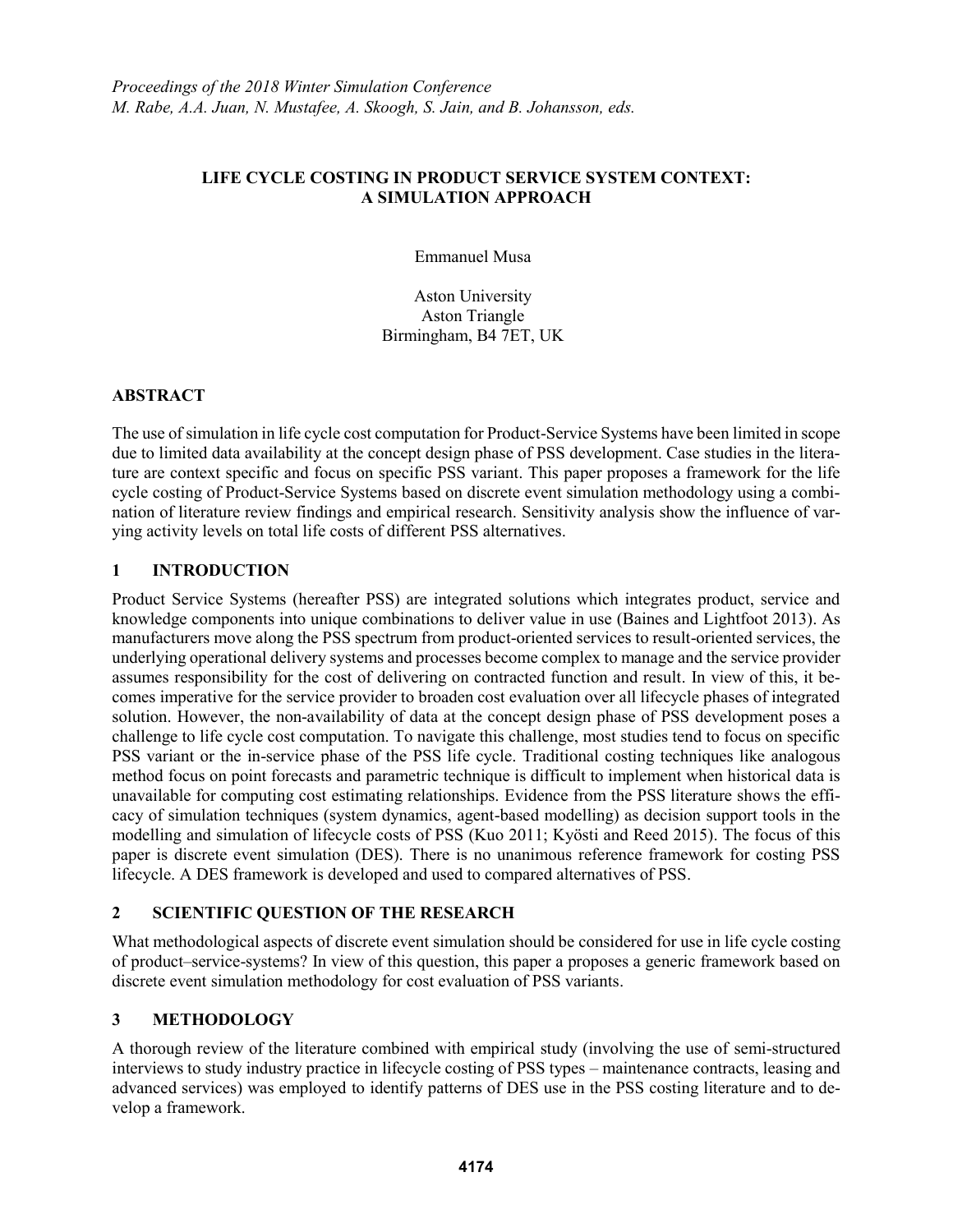#### **LIFE CYCLE COSTING IN PRODUCT SERVICE SYSTEM CONTEXT: A SIMULATION APPROACH**

Emmanuel Musa

Aston University Aston Triangle Birmingham, B4 7ET, UK

#### **ABSTRACT**

The use of simulation in life cycle cost computation for Product-Service Systems have been limited in scope due to limited data availability at the concept design phase of PSS development. Case studies in the literature are context specific and focus on specific PSS variant. This paper proposes a framework for the life cycle costing of Product-Service Systems based on discrete event simulation methodology using a combination of literature review findings and empirical research. Sensitivity analysis show the influence of varying activity levels on total life costs of different PSS alternatives.

# **1 INTRODUCTION**

Product Service Systems (hereafter PSS) are integrated solutions which integrates product, service and knowledge components into unique combinations to deliver value in use (Baines and Lightfoot 2013). As manufacturers move along the PSS spectrum from product-oriented services to result-oriented services, the underlying operational delivery systems and processes become complex to manage and the service provider assumes responsibility for the cost of delivering on contracted function and result. In view of this, it becomes imperative for the service provider to broaden cost evaluation over all lifecycle phases of integrated solution. However, the non-availability of data at the concept design phase of PSS development poses a challenge to life cycle cost computation. To navigate this challenge, most studies tend to focus on specific PSS variant or the in-service phase of the PSS life cycle. Traditional costing techniques like analogous method focus on point forecasts and parametric technique is difficult to implement when historical data is unavailable for computing cost estimating relationships. Evidence from the PSS literature shows the efficacy of simulation techniques (system dynamics, agent-based modelling) as decision support tools in the modelling and simulation of lifecycle costs of PSS (Kuo 2011; Kyösti and Reed 2015). The focus of this paper is discrete event simulation (DES). There is no unanimous reference framework for costing PSS lifecycle. A DES framework is developed and used to compared alternatives of PSS.

# **2 SCIENTIFIC QUESTION OF THE RESEARCH**

What methodological aspects of discrete event simulation should be considered for use in life cycle costing of product–service-systems? In view of this question, this paper a proposes a generic framework based on discrete event simulation methodology for cost evaluation of PSS variants.

# **3 METHODOLOGY**

A thorough review of the literature combined with empirical study (involving the use of semi-structured interviews to study industry practice in lifecycle costing of PSS types – maintenance contracts, leasing and advanced services) was employed to identify patterns of DES use in the PSS costing literature and to develop a framework.